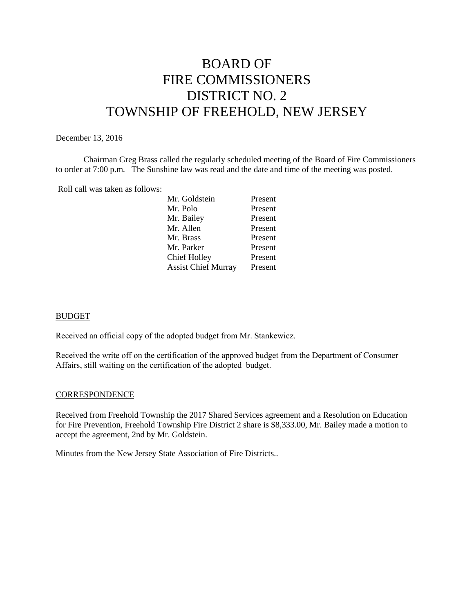# BOARD OF FIRE COMMISSIONERS DISTRICT NO. 2 TOWNSHIP OF FREEHOLD, NEW JERSEY

#### December 13, 2016

Chairman Greg Brass called the regularly scheduled meeting of the Board of Fire Commissioners to order at 7:00 p.m. The Sunshine law was read and the date and time of the meeting was posted.

Roll call was taken as follows:

| Present |
|---------|
| Present |
| Present |
| Present |
| Present |
| Present |
| Present |
| Present |
|         |

#### BUDGET

Received an official copy of the adopted budget from Mr. Stankewicz.

Received the write off on the certification of the approved budget from the Department of Consumer Affairs, still waiting on the certification of the adopted budget.

#### **CORRESPONDENCE**

Received from Freehold Township the 2017 Shared Services agreement and a Resolution on Education for Fire Prevention, Freehold Township Fire District 2 share is \$8,333.00, Mr. Bailey made a motion to accept the agreement, 2nd by Mr. Goldstein.

Minutes from the New Jersey State Association of Fire Districts..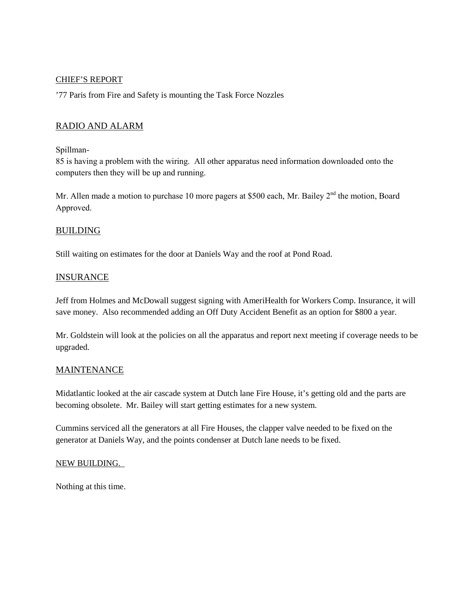#### CHIEF'S REPORT

'77 Paris from Fire and Safety is mounting the Task Force Nozzles

# RADIO AND ALARM

#### Spillman-

85 is having a problem with the wiring. All other apparatus need information downloaded onto the computers then they will be up and running.

Mr. Allen made a motion to purchase 10 more pagers at \$500 each, Mr. Bailey  $2^{\text{nd}}$  the motion, Board Approved.

## BUILDING

Still waiting on estimates for the door at Daniels Way and the roof at Pond Road.

## INSURANCE

Jeff from Holmes and McDowall suggest signing with AmeriHealth for Workers Comp. Insurance, it will save money. Also recommended adding an Off Duty Accident Benefit as an option for \$800 a year.

Mr. Goldstein will look at the policies on all the apparatus and report next meeting if coverage needs to be upgraded.

## **MAINTENANCE**

Midatlantic looked at the air cascade system at Dutch lane Fire House, it's getting old and the parts are becoming obsolete. Mr. Bailey will start getting estimates for a new system.

Cummins serviced all the generators at all Fire Houses, the clapper valve needed to be fixed on the generator at Daniels Way, and the points condenser at Dutch lane needs to be fixed.

#### NEW BUILDING.

Nothing at this time.